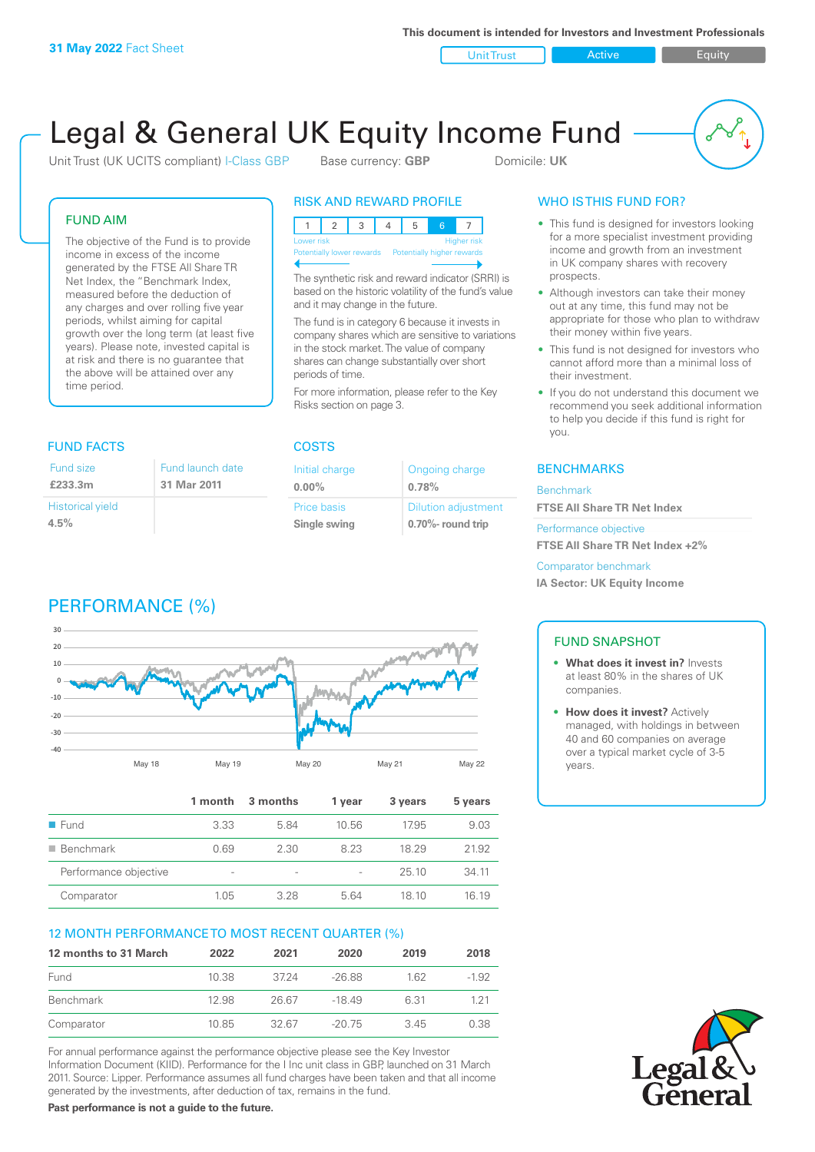**This document is intended for Investors and Investment Professionals**

Unit Trust **Active Equity** 

# Legal & General UK Equity Income Fund

Unit Trust (UK UCITS compliant) I-Class GBP Base currency: **GBP** Domicile: UK

#### FUND AIM

The objective of the Fund is to provide income in excess of the income generated by the FTSE All Share TR Net Index, the "Benchmark Index, measured before the deduction of any charges and over rolling five year periods, whilst aiming for capital growth over the long term (at least five years). Please note, invested capital is at risk and there is no guarantee that the above will be attained over any time period.

#### FUND FACTS COSTS

| Fund size               | Fund launch |
|-------------------------|-------------|
| £233.3m                 | 31 Mar 2011 |
| <b>Historical yield</b> |             |
| 4.5%                    |             |

# PERFORMANCE (%)



RISK AND REWARD PROFILE

The synthetic risk and reward indicator (SRRI) is based on the historic volatility of the fund's value and it may change in the future.

The fund is in category 6 because it invests in company shares which are sensitive to variations in the stock market. The value of company shares can change substantially over short periods of time.

For more information, please refer to the Key Risks section on page 3.

| Initial charge | Ongoing charge             |
|----------------|----------------------------|
| $0.00\%$       | 0.78%                      |
| Price basis    | <b>Dilution adjustment</b> |
| Single swing   | $0.70\%$ - round trip      |

#### WHO IS THIS FUND FOR?

- This fund is designed for investors looking for a more specialist investment providing income and growth from an investment in UK company shares with recovery prospects.
- Although investors can take their money out at any time, this fund may not be appropriate for those who plan to withdraw their money within five years.
- This fund is not designed for investors who cannot afford more than a minimal loss of their investment.
- If you do not understand this document we recommend you seek additional information to help you decide if this fund is right for you.

#### **BENCHMARKS**

#### Benchmark

**FTSE All Share TR Net Index**

Performance objective

**FTSE All Share TR Net Index +2%**

Comparator benchmark

**IA Sector: UK Equity Income**

#### FUND SNAPSHOT

- **• What does it invest in?** Invests at least 80% in the shares of UK companies.
- **• How does it invest?** Actively managed, with holdings in between 40 and 60 companies on average over a typical market cycle of 3-5 years.





date

|                          | 1 month                  | 3 months        | 1 year | 3 years | 5 years |
|--------------------------|--------------------------|-----------------|--------|---------|---------|
| $\blacksquare$ Fund      | 3.33                     | 5.84            | 10.56  | 17.95   | 9.03    |
| $\blacksquare$ Benchmark | 0.69                     | 2.30            | 823    | 18 29   | 21.92   |
| Performance objective    | $\overline{\phantom{a}}$ | $\qquad \qquad$ |        | 25.10   | 34 11   |
| Comparator               | 1.05                     | 328             | 564    | 18 10   | 16 19   |

#### 12 MONTH PERFORMANCE TO MOST RECENT QUARTER (%)

| 12 months to 31 March | 2022  | 2021  | 2020     | 2019 | 2018    |
|-----------------------|-------|-------|----------|------|---------|
| Fund                  | 10.38 | 3724  | $-26.88$ | 162  | $-1.92$ |
| <b>Benchmark</b>      | 12.98 | 26.67 | -18 49   | 6.31 | 121     |
| Comparator            | 10.85 | 32.67 | $-20.75$ | 345  | 0.38    |

For annual performance against the performance objective please see the Key Investor Information Document (KIID). Performance for the I Inc unit class in GBP, launched on 31 March 2011. Source: Lipper. Performance assumes all fund charges have been taken and that all income generated by the investments, after deduction of tax, remains in the fund.

**Past performance is not a guide to the future.**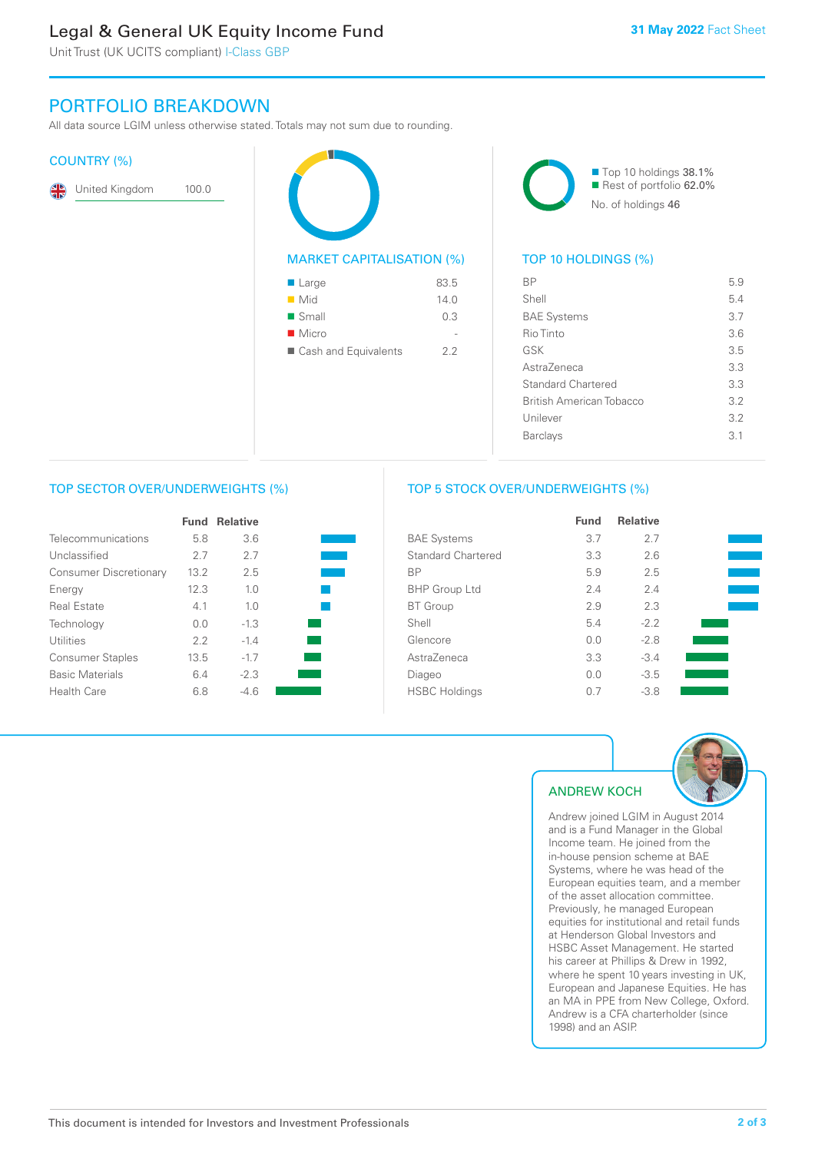# Legal & General UK Equity Income Fund

Unit Trust (UK UCITS compliant) I-Class GBP

## PORTFOLIO BREAKDOWN

All data source LGIM unless otherwise stated. Totals may not sum due to rounding.

#### COUNTRY (%)

| $\mathbf{R}$ | United Kingdom | 100.0 |
|--------------|----------------|-------|
|--------------|----------------|-------|

| <b>MARKET CAPITALISATION (%)</b> |      |
|----------------------------------|------|
| $\blacksquare$ Large             | 83.5 |
| ■ Mid                            | 14.0 |
| ■ Small                          | 0.3  |
| $\blacksquare$ Micro             |      |

■ Cash and Equivalents 2.2



#### TOP 10 HOLDINGS (%)

| ВP                              | 5.9 |
|---------------------------------|-----|
| Shell                           | 54  |
| <b>BAE Systems</b>              | 3.7 |
| Rio Tinto                       | 3.6 |
| GSK                             | 35  |
| Astra7eneca                     | 3.3 |
| Standard Chartered              | 3.3 |
| <b>British American Tobacco</b> | 32  |
| Unilever                        | 3.2 |
| <b>Barclays</b>                 | 31  |
|                                 |     |

#### TOP SECTOR OVER/UNDERWEIGHTS (%)

|                               | Fund | <b>Relative</b> |  |
|-------------------------------|------|-----------------|--|
| Telecommunications            | 5.8  | 3.6             |  |
| Unclassified                  | 2.7  | 27              |  |
| <b>Consumer Discretionary</b> | 13.2 | 2.5             |  |
| Energy                        | 12.3 | 1 <sub>0</sub>  |  |
| Real Estate                   | 4.1  | 1 <sub>0</sub>  |  |
| Technology                    | 0.0  | $-1.3$          |  |
| Utilities                     | 2.2  | $-1.4$          |  |
| <b>Consumer Staples</b>       | 13.5 | $-17$           |  |
| <b>Basic Materials</b>        | 6.4  | $-2.3$          |  |
| Health Care                   | 6.8  | -4 6            |  |

#### TOP 5 STOCK OVER/UNDERWEIGHTS (%)

|                           | <b>Fund</b> | <b>Relative</b> |  |
|---------------------------|-------------|-----------------|--|
| <b>BAE Systems</b>        | 3.7         | 2.7             |  |
| <b>Standard Chartered</b> | 3.3         | 2.6             |  |
| <b>BP</b>                 | 5.9         | 2.5             |  |
| <b>BHP Group Ltd</b>      | 2.4         | 2.4             |  |
| <b>BT</b> Group           | 2.9         | 2.3             |  |
| Shell                     | 5.4         | $-2.2$          |  |
| Glencore                  | 0.0         | $-2.8$          |  |
| AstraZeneca               | 3.3         | $-3.4$          |  |
| Diageo                    | 0.0         | $-3.5$          |  |
| <b>HSBC Holdings</b>      | 0.7         | $-3.8$          |  |



### ANDREW KOCH

Andrew joined LGIM in August 2014 and is a Fund Manager in the Global Income team. He joined from the in-house pension scheme at BAE Systems, where he was head of the European equities team, and a member of the asset allocation committee. Previously, he managed European equities for institutional and retail funds at Henderson Global Investors and HSBC Asset Management. He started his career at Phillips & Drew in 1992, where he spent 10 years investing in UK, European and Japanese Equities. He has an MA in PPE from New College, Oxford. Andrew is a CFA charterholder (since 1998) and an ASIP.